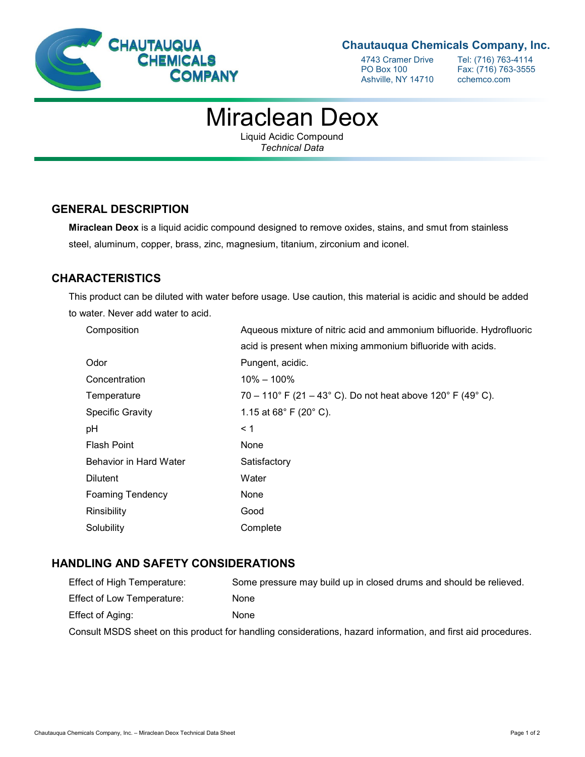

## **Chautauqua Chemicals Company, Inc.**

Ashville, NY 14710

4743 Cramer Drive Tel: (716) 763-4114<br>PO Box 100 Fax: (716) 763-3555 Fax: (716) 763-3555<br>cchemco.com

# Miraclean Deox

Liquid Acidic Compound *Technical Data*

### **GENERAL DESCRIPTION**

**Miraclean Deox** is a liquid acidic compound designed to remove oxides, stains, and smut from stainless steel, aluminum, copper, brass, zinc, magnesium, titanium, zirconium and iconel.

# **CHARACTERISTICS**

This product can be diluted with water before usage. Use caution, this material is acidic and should be added to water. Never add water to acid.

| Composition             | Aqueous mixture of nitric acid and ammonium bifluoride. Hydrofluoric |
|-------------------------|----------------------------------------------------------------------|
|                         | acid is present when mixing ammonium bifluoride with acids.          |
| Odor                    | Pungent, acidic.                                                     |
| Concentration           | $10\% - 100\%$                                                       |
| Temperature             | 70 – 110° F (21 – 43° C). Do not heat above 120° F (49° C).          |
| <b>Specific Gravity</b> | 1.15 at $68^{\circ}$ F (20 $^{\circ}$ C).                            |
| рH                      | $\leq$ 1                                                             |
| <b>Flash Point</b>      | None                                                                 |
| Behavior in Hard Water  | Satisfactory                                                         |
| <b>Dilutent</b>         | Water                                                                |
| <b>Foaming Tendency</b> | None                                                                 |
| Rinsibility             | Good                                                                 |
| Solubility              | Complete                                                             |

### **HANDLING AND SAFETY CONSIDERATIONS**

| Effect of High Temperature:                                                                                   | Some pressure may build up in closed drums and should be relieved. |
|---------------------------------------------------------------------------------------------------------------|--------------------------------------------------------------------|
| Effect of Low Temperature:                                                                                    | None                                                               |
| Effect of Aging:                                                                                              | None                                                               |
| Consult MSDS sheet on this product for handling considerations, hazard information, and first aid procedures. |                                                                    |